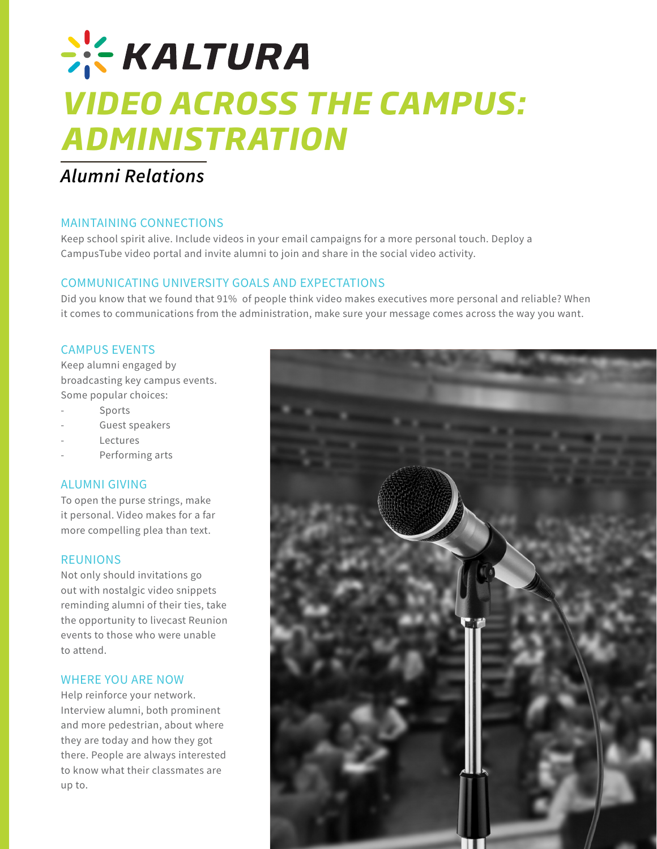# **CHECK ALTURA** *VIDEO ACROSS THE CAMPUS: ADMINISTRATION*

# *Alumni Relations*

## MAINTAINING CONNECTIONS

Keep school spirit alive. Include videos in your email campaigns for a more personal touch. Deploy a CampusTube video portal and invite alumni to join and share in the social video activity.

## COMMUNICATING UNIVERSITY GOALS AND EXPECTATIONS

Did you know that we found that 91% of people think video makes executives more personal and reliable? When it comes to communications from the administration, make sure your message comes across the way you want.

#### CAMPUS EVENTS

Keep alumni engaged by broadcasting key campus events. Some popular choices:

- **Sports**
- Guest speakers
- **Lectures**
- Performing arts

## ALUMNI GIVING

To open the purse strings, make it personal. Video makes for a far more compelling plea than text.

#### REUNIONS

Not only should invitations go out with nostalgic video snippets reminding alumni of their ties, take the opportunity to livecast Reunion events to those who were unable to attend.

#### WHERE YOU ARE NOW

Help reinforce your network. Interview alumni, both prominent and more pedestrian, about where they are today and how they got there. People are always interested to know what their classmates are up to.